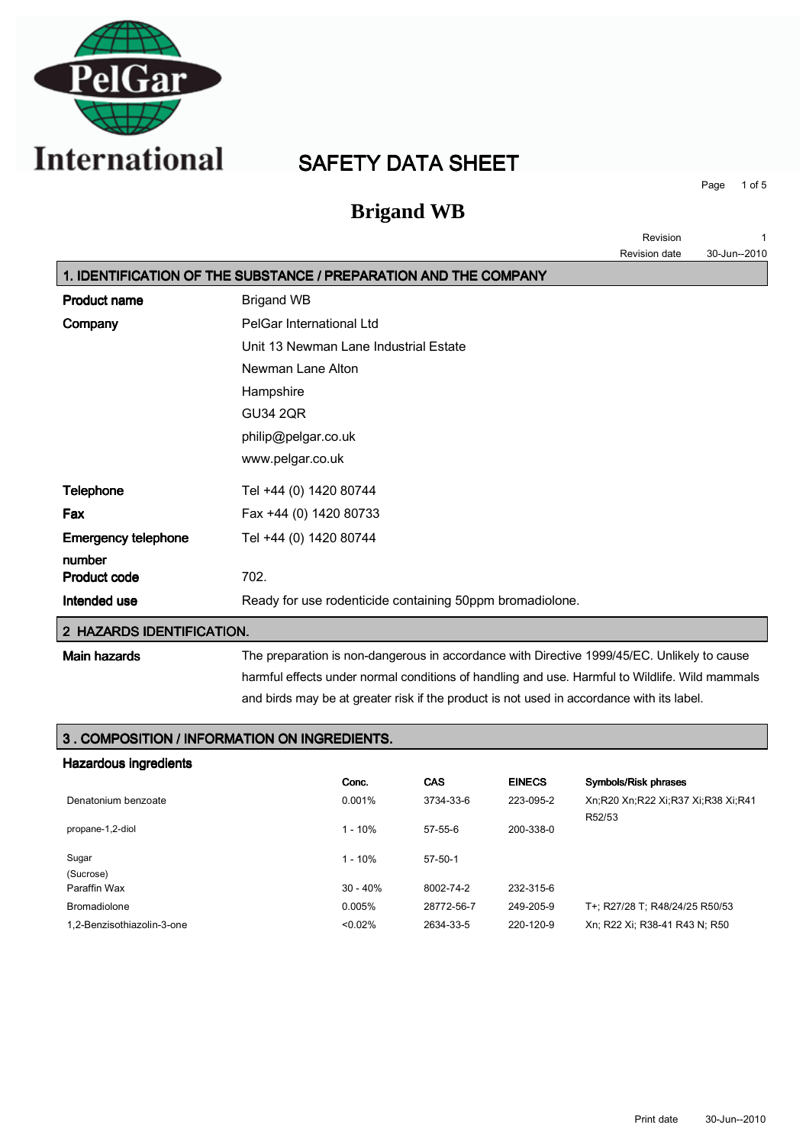

# SAFETY DATA SHEET

**Brigand WB**

Page 1 of 5

Revision 1

|                            |                                                                  | Revision date | 30-Jun--2010 |
|----------------------------|------------------------------------------------------------------|---------------|--------------|
|                            | 1. IDENTIFICATION OF THE SUBSTANCE / PREPARATION AND THE COMPANY |               |              |
| <b>Product name</b>        | <b>Brigand WB</b>                                                |               |              |
| Company                    | PelGar International Ltd                                         |               |              |
|                            | Unit 13 Newman Lane Industrial Estate                            |               |              |
|                            | Newman Lane Alton                                                |               |              |
|                            | Hampshire                                                        |               |              |
|                            | <b>GU34 2QR</b>                                                  |               |              |
|                            | philip@pelgar.co.uk                                              |               |              |
|                            | www.pelgar.co.uk                                                 |               |              |
| Telephone                  | Tel +44 (0) 1420 80744                                           |               |              |
| Fax                        | Fax +44 (0) 1420 80733                                           |               |              |
| <b>Emergency telephone</b> | Tel +44 (0) 1420 80744                                           |               |              |
| number                     |                                                                  |               |              |
| <b>Product code</b>        | 702.                                                             |               |              |
| Intended use               | Ready for use rodenticide containing 50ppm bromadiolone.         |               |              |
| 2 HAZARDS IDENTIFICATION.  |                                                                  |               |              |
|                            |                                                                  |               |              |

Main hazards The preparation is non-dangerous in accordance with Directive 1999/45/EC. Unlikely to cause harmful effects under normal conditions of handling and use. Harmful to Wildlife. Wild mammals and birds may be at greater risk if the product is not used in accordance with its label.

#### 3 . COMPOSITION / INFORMATION ON INGREDIENTS.

| Hazardous ingredients      |            |               |               |                                              |
|----------------------------|------------|---------------|---------------|----------------------------------------------|
|                            | Conc.      | <b>CAS</b>    | <b>EINECS</b> | Symbols/Risk phrases                         |
| Denatonium benzoate        | 0.001%     | 3734-33-6     | 223-095-2     | Xn:R20 Xn:R22 Xi:R37 Xi:R38 Xi:R41<br>R52/53 |
| propane-1,2-diol           | $1 - 10%$  | $57-55-6$     | 200-338-0     |                                              |
| Sugar                      | $1 - 10%$  | $57 - 50 - 1$ |               |                                              |
| (Sucrose)                  |            |               |               |                                              |
| Paraffin Wax               | $30 - 40%$ | 8002-74-2     | 232-315-6     |                                              |
| <b>Bromadiolone</b>        | 0.005%     | 28772-56-7    | 249-205-9     | T+: R27/28 T: R48/24/25 R50/53               |
| 1.2-Benzisothiazolin-3-one | < 0.02%    | 2634-33-5     | 220-120-9     | Xn; R22 Xi; R38-41 R43 N; R50                |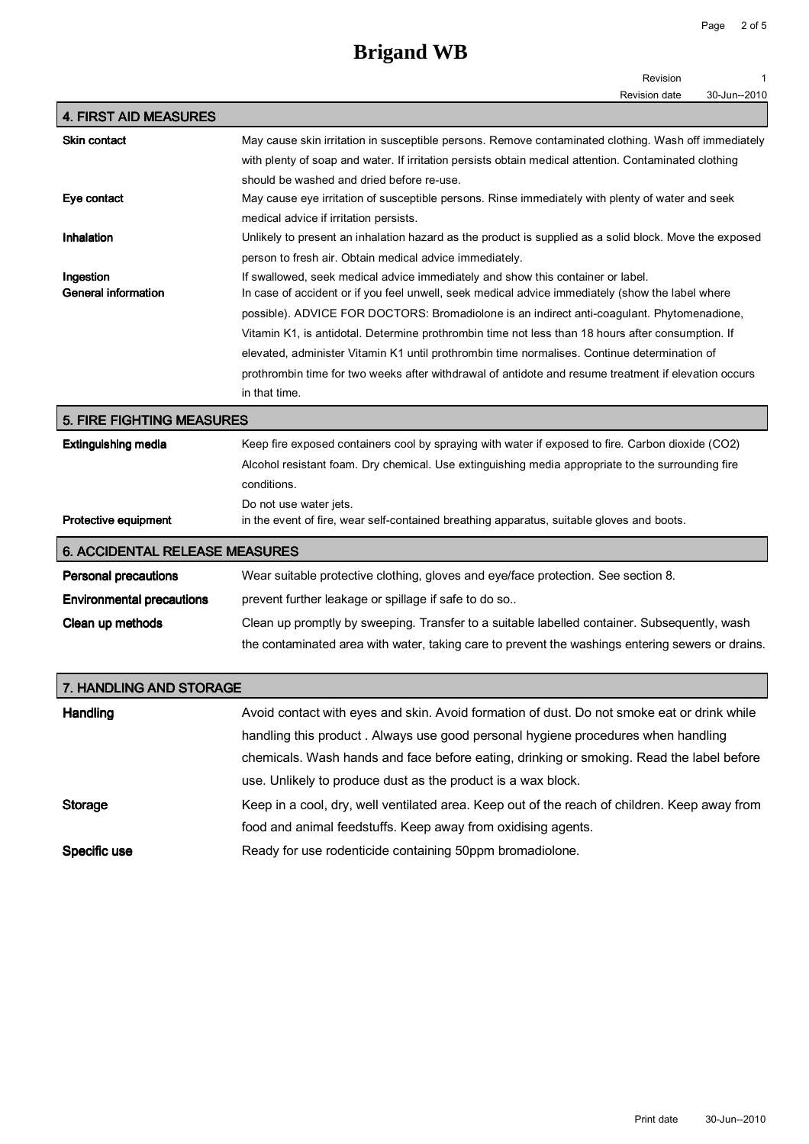## **Brigand WB**

|                                       | Revision                                                                                               |  |
|---------------------------------------|--------------------------------------------------------------------------------------------------------|--|
|                                       | <b>Revision date</b><br>30-Jun--2010                                                                   |  |
| <b>4. FIRST AID MEASURES</b>          |                                                                                                        |  |
| <b>Skin contact</b>                   | May cause skin irritation in susceptible persons. Remove contaminated clothing. Wash off immediately   |  |
|                                       | with plenty of soap and water. If irritation persists obtain medical attention. Contaminated clothing  |  |
|                                       | should be washed and dried before re-use.                                                              |  |
| Eye contact                           | May cause eye irritation of susceptible persons. Rinse immediately with plenty of water and seek       |  |
|                                       | medical advice if irritation persists.                                                                 |  |
| Inhalation                            | Unlikely to present an inhalation hazard as the product is supplied as a solid block. Move the exposed |  |
|                                       | person to fresh air. Obtain medical advice immediately.                                                |  |
| Ingestion                             | If swallowed, seek medical advice immediately and show this container or label.                        |  |
| <b>General information</b>            | In case of accident or if you feel unwell, seek medical advice immediately (show the label where       |  |
|                                       | possible). ADVICE FOR DOCTORS: Bromadiolone is an indirect anti-coagulant. Phytomenadione,             |  |
|                                       | Vitamin K1, is antidotal. Determine prothrombin time not less than 18 hours after consumption. If      |  |
|                                       | elevated, administer Vitamin K1 until prothrombin time normalises. Continue determination of           |  |
|                                       | prothrombin time for two weeks after withdrawal of antidote and resume treatment if elevation occurs   |  |
|                                       | in that time.                                                                                          |  |
| <b>5. FIRE FIGHTING MEASURES</b>      |                                                                                                        |  |
| <b>Extinguishing media</b>            | Keep fire exposed containers cool by spraying with water if exposed to fire. Carbon dioxide (CO2)      |  |
|                                       | Alcohol resistant foam. Dry chemical. Use extinguishing media appropriate to the surrounding fire      |  |
|                                       | conditions.                                                                                            |  |
|                                       | Do not use water jets.                                                                                 |  |
| <b>Protective equipment</b>           | in the event of fire, wear self-contained breathing apparatus, suitable gloves and boots.              |  |
| <b>6. ACCIDENTAL RELEASE MEASURES</b> |                                                                                                        |  |
| <b>Personal precautions</b>           | Wear suitable protective clothing, gloves and eye/face protection. See section 8.                      |  |
| <b>Environmental precautions</b>      | prevent further leakage or spillage if safe to do so                                                   |  |
| Clean up methods                      | Clean up promptly by sweeping. Transfer to a suitable labelled container. Subsequently, wash           |  |
|                                       | the contaminated area with water, taking care to prevent the washings entering sewers or drains.       |  |
|                                       |                                                                                                        |  |

| 7. HANDLING AND STORAGE |                                                                                              |  |
|-------------------------|----------------------------------------------------------------------------------------------|--|
| Handling                | Avoid contact with eyes and skin. Avoid formation of dust. Do not smoke eat or drink while   |  |
|                         | handling this product. Always use good personal hygiene procedures when handling             |  |
|                         | chemicals. Wash hands and face before eating, drinking or smoking. Read the label before     |  |
|                         | use. Unlikely to produce dust as the product is a wax block.                                 |  |
| <b>Storage</b>          | Keep in a cool, dry, well ventilated area. Keep out of the reach of children. Keep away from |  |
|                         | food and animal feedstuffs. Keep away from oxidising agents.                                 |  |
| Specific use            | Ready for use rodenticide containing 50ppm bromadiolone.                                     |  |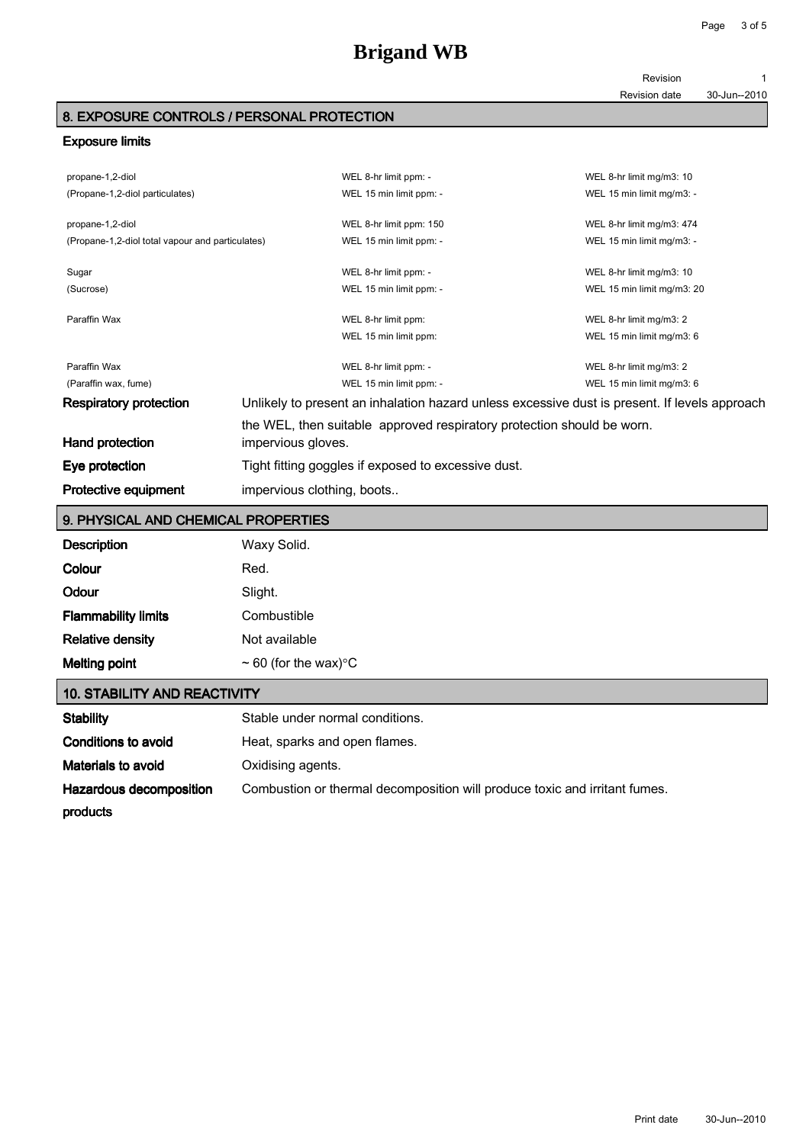Revision 1

Revision date 30-Jun--2010

Page 3 of 5

#### 8. EXPOSURE CONTROLS / PERSONAL PROTECTION

#### Exposure limits

| propane-1,2-diol                                 |                                                                                               | WEL 8-hr limit ppm: -                                                  | WEL 8-hr limit mg/m3: 10   |
|--------------------------------------------------|-----------------------------------------------------------------------------------------------|------------------------------------------------------------------------|----------------------------|
| (Propane-1,2-diol particulates)                  |                                                                                               | WEL 15 min limit ppm: -                                                | WEL 15 min limit mg/m3: -  |
|                                                  |                                                                                               |                                                                        |                            |
| propane-1,2-diol                                 |                                                                                               | WEL 8-hr limit ppm: 150                                                | WEL 8-hr limit mg/m3: 474  |
| (Propane-1,2-diol total vapour and particulates) |                                                                                               | WEL 15 min limit ppm: -                                                | WEL 15 min limit mg/m3: -  |
| Sugar                                            |                                                                                               | WEL 8-hr limit ppm: -                                                  | WEL 8-hr limit mg/m3: 10   |
| (Sucrose)                                        |                                                                                               | WEL 15 min limit ppm: -                                                | WEL 15 min limit mg/m3: 20 |
| Paraffin Wax                                     |                                                                                               | WEL 8-hr limit ppm:                                                    | WEL 8-hr limit mg/m3: 2    |
|                                                  |                                                                                               | WEL 15 min limit ppm:                                                  | WEL 15 min limit mg/m3: 6  |
| Paraffin Wax                                     |                                                                                               | WEL 8-hr limit ppm: -                                                  | WEL 8-hr limit mg/m3: 2    |
| (Paraffin wax, fume)                             |                                                                                               | WEL 15 min limit ppm: -                                                | WEL 15 min limit ma/m3: 6  |
| <b>Respiratory protection</b>                    | Unlikely to present an inhalation hazard unless excessive dust is present. If levels approach |                                                                        |                            |
|                                                  |                                                                                               | the WEL, then suitable approved respiratory protection should be worn. |                            |
| Hand protection                                  | impervious gloves.                                                                            |                                                                        |                            |
| Eye protection                                   | Tight fitting goggles if exposed to excessive dust.                                           |                                                                        |                            |
| <b>Protective equipment</b>                      | impervious clothing, boots                                                                    |                                                                        |                            |

## 9. PHYSICAL AND CHEMICAL PROPERTIES

| <b>Description</b>         | Waxy Solid.                         |
|----------------------------|-------------------------------------|
| Colour                     | Red.                                |
| Odour                      | Slight.                             |
| <b>Flammability limits</b> | Combustible                         |
| <b>Relative density</b>    | Not available                       |
| <b>Melting point</b>       | $\sim$ 60 (for the wax) $\degree$ C |

### 10. STABILITY AND REACTIVITY

| <b>Stability</b>               | Stable under normal conditions.                                            |
|--------------------------------|----------------------------------------------------------------------------|
| Conditions to avoid            | Heat, sparks and open flames.                                              |
| Materials to avoid             | Oxidising agents.                                                          |
| <b>Hazardous decomposition</b> | Combustion or thermal decomposition will produce toxic and irritant fumes. |
| products                       |                                                                            |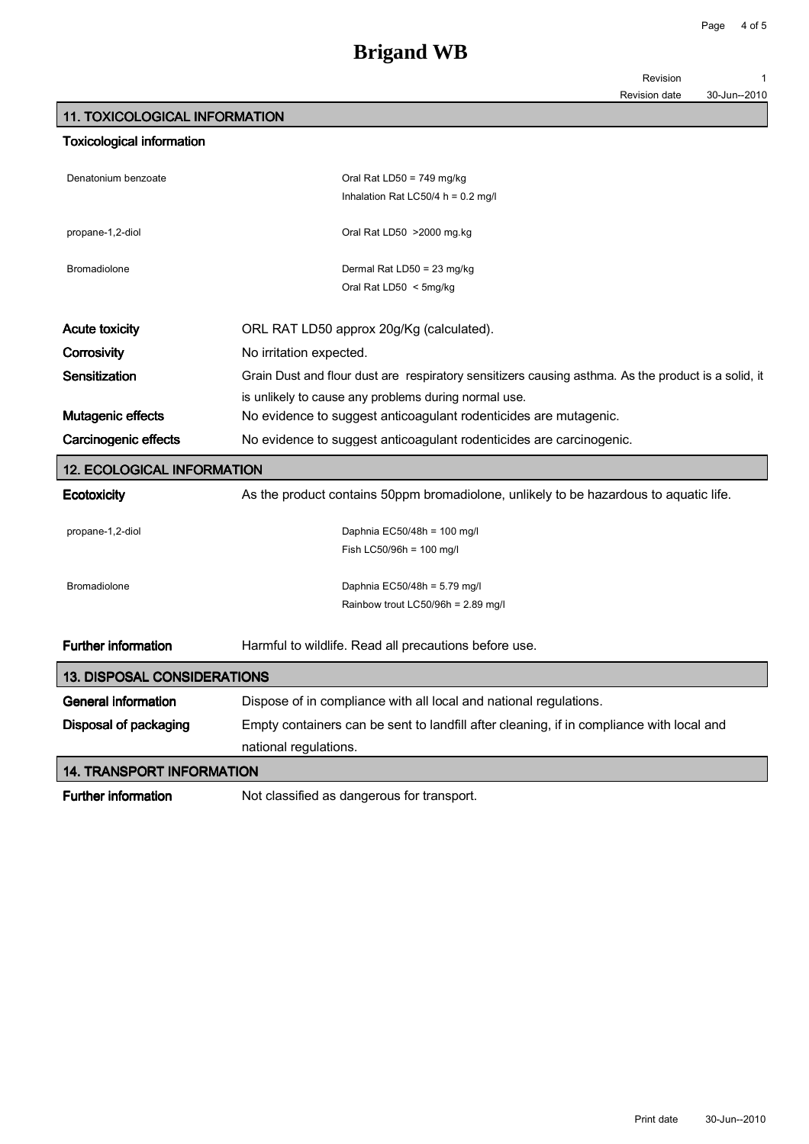| Revision |  |  |
|----------|--|--|
|          |  |  |
|          |  |  |

#### 11. TOXICOLOGICAL INFORMATION

| <b>Toxicological information</b>   |                                                                                                     |
|------------------------------------|-----------------------------------------------------------------------------------------------------|
| Denatonium benzoate                | Oral Rat LD50 = $749$ mg/kg                                                                         |
|                                    | Inhalation Rat LC50/4 h = $0.2$ mg/l                                                                |
| propane-1,2-diol                   | Oral Rat LD50 > 2000 mg.kg                                                                          |
| <b>Bromadiolone</b>                | Dermal Rat LD50 = 23 mg/kg                                                                          |
|                                    | Oral Rat LD50 < 5mg/kg                                                                              |
| <b>Acute toxicity</b>              | ORL RAT LD50 approx 20g/Kg (calculated).                                                            |
| Corrosivity                        | No irritation expected.                                                                             |
| Sensitization                      | Grain Dust and flour dust are respiratory sensitizers causing asthma. As the product is a solid, it |
|                                    | is unlikely to cause any problems during normal use.                                                |
| Mutagenic effects                  | No evidence to suggest anticoagulant rodenticides are mutagenic.                                    |
| <b>Carcinogenic effects</b>        | No evidence to suggest anticoagulant rodenticides are carcinogenic.                                 |
| <b>12. ECOLOGICAL INFORMATION</b>  |                                                                                                     |
| Ecotoxicity                        | As the product contains 50ppm bromadiolone, unlikely to be hazardous to aquatic life.               |
| propane-1,2-diol                   | Daphnia EC50/48h = 100 mg/l                                                                         |
|                                    | Fish LC50/96h = 100 mg/l                                                                            |
| <b>Bromadiolone</b>                | Daphnia EC50/48h = 5.79 mg/l                                                                        |
|                                    | Rainbow trout LC50/96h = 2.89 mg/l                                                                  |
| <b>Further information</b>         | Harmful to wildlife. Read all precautions before use.                                               |
| <b>13. DISPOSAL CONSIDERATIONS</b> |                                                                                                     |
| <b>General information</b>         | Dispose of in compliance with all local and national regulations.                                   |
| Disposal of packaging              | Empty containers can be sent to landfill after cleaning, if in compliance with local and            |
|                                    | national regulations.                                                                               |
| <b>14. TRANSPORT INFORMATION</b>   |                                                                                                     |
| <b>Further information</b>         | Not classified as dangerous for transport.                                                          |